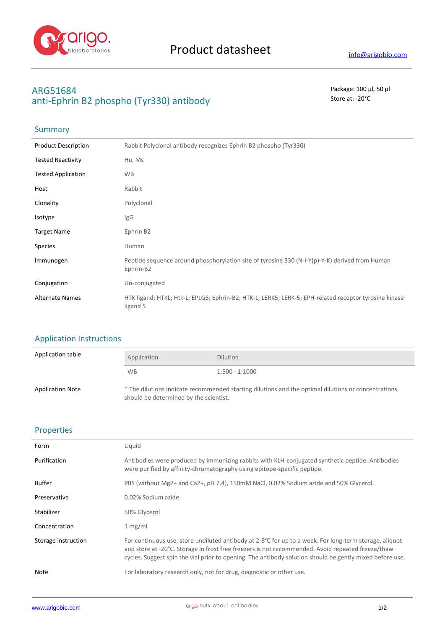

# **ARG51684** Package: 100 μl, 50 μl anti-Ephrin B2 phospho (Tyr330) antibody Store at: -20<sup>°</sup>C

## Summary

| <b>Product Description</b> | Rabbit Polyclonal antibody recognizes Ephrin B2 phospho (Tyr330)                                                  |
|----------------------------|-------------------------------------------------------------------------------------------------------------------|
| <b>Tested Reactivity</b>   | Hu, Ms                                                                                                            |
| <b>Tested Application</b>  | <b>WB</b>                                                                                                         |
| Host                       | Rabbit                                                                                                            |
| Clonality                  | Polyclonal                                                                                                        |
| Isotype                    | lgG                                                                                                               |
| <b>Target Name</b>         | Ephrin B2                                                                                                         |
| <b>Species</b>             | Human                                                                                                             |
| Immunogen                  | Peptide sequence around phosphorylation site of tyrosine 330 (N-I-Y(p)-Y-K) derived from Human<br>Ephrin-B2       |
| Conjugation                | Un-conjugated                                                                                                     |
| <b>Alternate Names</b>     | HTK ligand; HTKL; Htk-L; EPLG5; Ephrin-B2; HTK-L; LERK5; LERK-5; EPH-related receptor tyrosine kinase<br>ligand 5 |

### Application Instructions

| Application table       | Application                            | <b>Dilution</b>                                                                                     |
|-------------------------|----------------------------------------|-----------------------------------------------------------------------------------------------------|
|                         | <b>WB</b>                              | $1:500 - 1:1000$                                                                                    |
| <b>Application Note</b> | should be determined by the scientist. | * The dilutions indicate recommended starting dilutions and the optimal dilutions or concentrations |

### Properties

| Form                | Liquid                                                                                                                                                                                                                                                                                                                  |
|---------------------|-------------------------------------------------------------------------------------------------------------------------------------------------------------------------------------------------------------------------------------------------------------------------------------------------------------------------|
| Purification        | Antibodies were produced by immunizing rabbits with KLH-conjugated synthetic peptide. Antibodies<br>were purified by affinity-chromatography using epitope-specific peptide.                                                                                                                                            |
| <b>Buffer</b>       | PBS (without Mg2+ and Ca2+, pH 7.4), 150mM NaCl, 0.02% Sodium azide and 50% Glycerol.                                                                                                                                                                                                                                   |
| Preservative        | 0.02% Sodium azide                                                                                                                                                                                                                                                                                                      |
| Stabilizer          | 50% Glycerol                                                                                                                                                                                                                                                                                                            |
| Concentration       | 1 mg/ml                                                                                                                                                                                                                                                                                                                 |
| Storage instruction | For continuous use, store undiluted antibody at 2-8°C for up to a week. For long-term storage, aliquot<br>and store at -20°C. Storage in frost free freezers is not recommended. Avoid repeated freeze/thaw<br>cycles. Suggest spin the vial prior to opening. The antibody solution should be gently mixed before use. |
| Note                | For laboratory research only, not for drug, diagnostic or other use.                                                                                                                                                                                                                                                    |